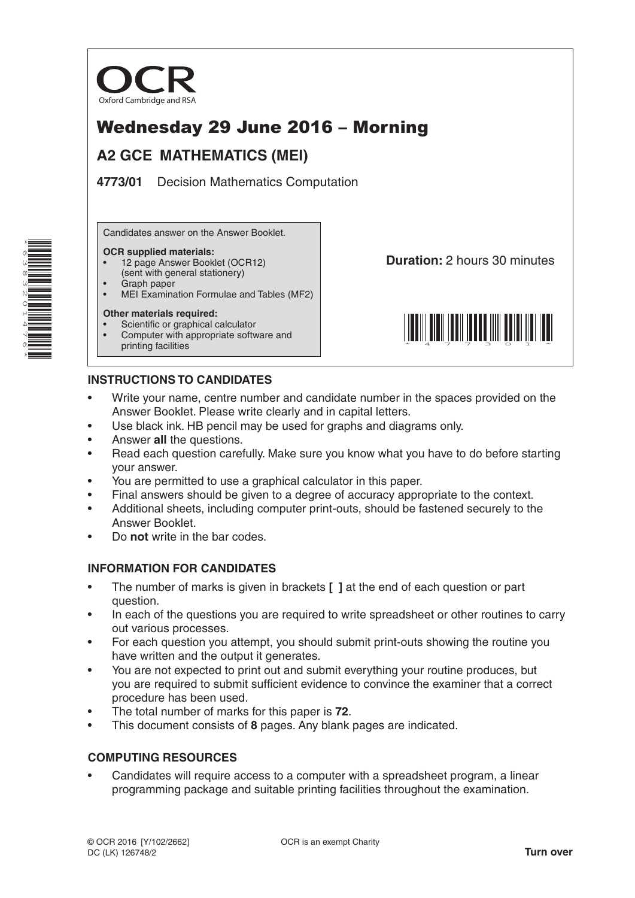

# Wednesday 29 June 2016 – Morning

# **A2 GCE MATHEMATICS (MEI)**

**4773/01** Decision Mathematics Computation

Candidates answer on the Answer Booklet.

#### **OCR supplied materials:**

- 12 page Answer Booklet (OCR12) (sent with general stationery)
- Graph paper
- MEI Examination Formulae and Tables (MF2)

#### **Other materials required:**

- Scientific or graphical calculator
- Computer with appropriate software and printing facilities

**Duration:** 2 hours 30 minutes



# **INSTRUCTIONS TO CANDIDATES**

- Write your name, centre number and candidate number in the spaces provided on the Answer Booklet. Please write clearly and in capital letters.
- Use black ink. HB pencil may be used for graphs and diagrams only.
- Answer **all** the questions.
- Read each question carefully. Make sure you know what you have to do before starting your answer.
- You are permitted to use a graphical calculator in this paper.
- Final answers should be given to a degree of accuracy appropriate to the context.
- Additional sheets, including computer print-outs, should be fastened securely to the Answer Booklet.
- Do **not** write in the bar codes.

# **INFORMATION FOR CANDIDATES**

- The number of marks is given in brackets **[ ]** at the end of each question or part question.
- In each of the questions you are required to write spreadsheet or other routines to carry out various processes.
- For each question you attempt, you should submit print-outs showing the routine you have written and the output it generates.
- You are not expected to print out and submit everything your routine produces, but you are required to submit sufficient evidence to convince the examiner that a correct procedure has been used.
- The total number of marks for this paper is **72**.
- This document consists of **8** pages. Any blank pages are indicated.

# **COMPUTING RESOURCES**

• Candidates will require access to a computer with a spreadsheet program, a linear programming package and suitable printing facilities throughout the examination.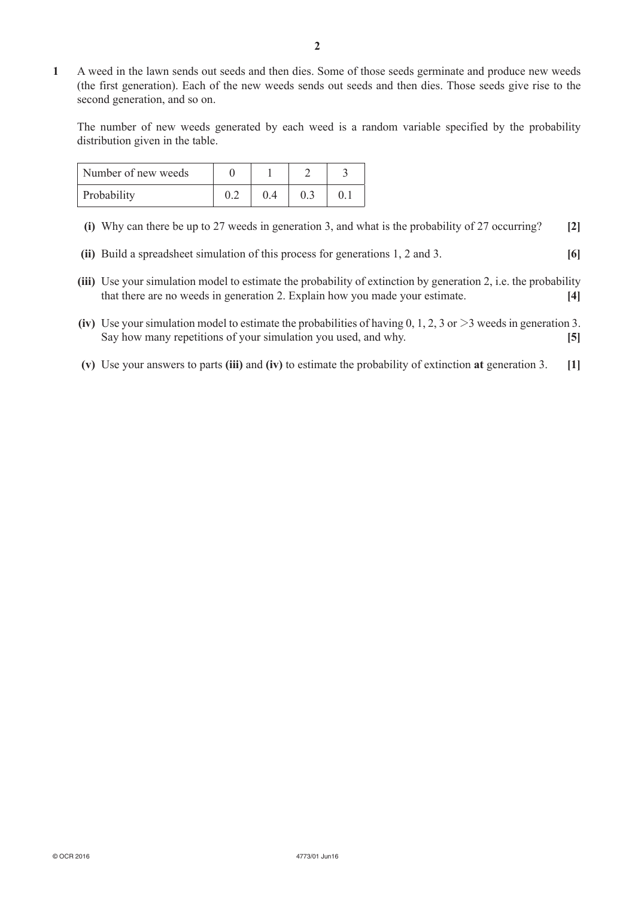**1**  A weed in the lawn sends out seeds and then dies. Some of those seeds germinate and produce new weeds (the first generation). Each of the new weeds sends out seeds and then dies. Those seeds give rise to the second generation, and so on.

The number of new weeds generated by each weed is a random variable specified by the probability distribution given in the table.

| Number of new weeds |  |  |
|---------------------|--|--|
| Probability         |  |  |

**(i)** Why can there be up to 27 weeds in generation 3, and what is the probability of 27 occurring? **[2]** 

- **(ii)** Build a spreadsheet simulation of this process for generations 1, 2 and 3. **[6]**
- **(iii)** Use your simulation model to estimate the probability of extinction by generation 2, i.e. the probability that there are no weeds in generation 2. Explain how you made your estimate. **[4]**
- **(iv)** Use your simulation model to estimate the probabilities of having  $0, 1, 2, 3$  or  $>3$  weeds in generation 3. Say how many repetitions of your simulation you used, and why. **[5]**
- **(v)**  Use your answers to parts **(iii)** and **(iv)** to estimate the probability of extinction **at** generation 3. **[1]**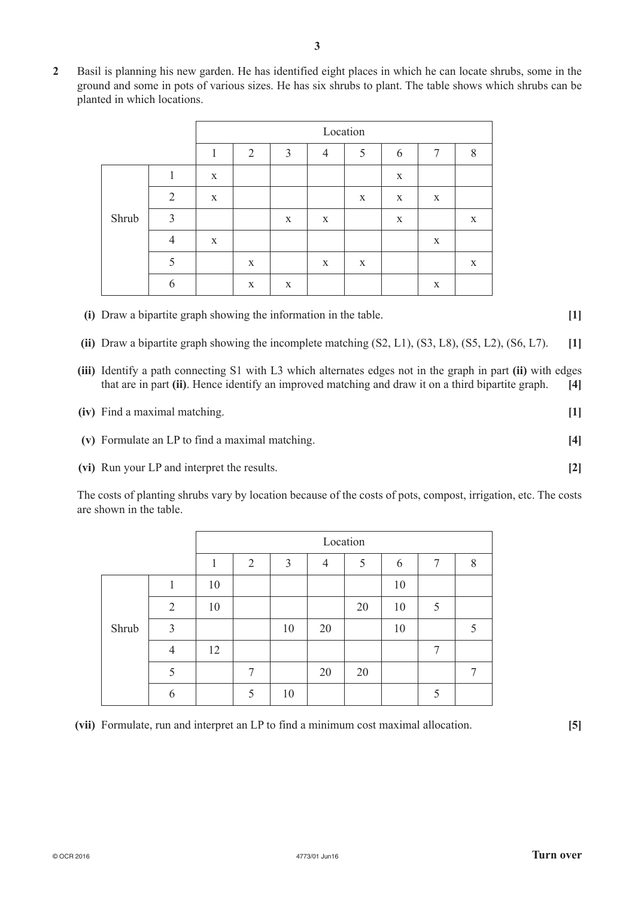**2**  Basil is planning his new garden. He has identified eight places in which he can locate shrubs, some in the ground and some in pots of various sizes. He has six shrubs to plant. The table shows which shrubs can be planted in which locations.

|       |             |             | Location       |             |                |              |             |             |             |  |
|-------|-------------|-------------|----------------|-------------|----------------|--------------|-------------|-------------|-------------|--|
|       |             | 1           | $\overline{2}$ | 3           | $\overline{4}$ | 5            | 6           | 7           | 8           |  |
|       |             | $\mathbf X$ |                |             |                |              | $\mathbf X$ |             |             |  |
|       | 2           | $\mathbf X$ |                |             |                | $\mathbf{X}$ | $\mathbf X$ | $\mathbf X$ |             |  |
| Shrub | 3           |             |                | $\mathbf X$ | $\mathbf X$    |              | X           |             | $\mathbf X$ |  |
|       | 4           | $\mathbf X$ |                |             |                |              |             | $\mathbf X$ |             |  |
|       | $\varsigma$ |             | $\mathbf X$    |             | $\mathbf{X}$   | $\mathbf{X}$ |             |             | $\mathbf X$ |  |
|       | 6           |             | $\mathbf X$    | $\mathbf X$ |                |              |             | $\mathbf X$ |             |  |

#### **(i)** Draw a bipartite graph showing the information in the table. **[1]**

**(ii)** Draw a bipartite graph showing the incomplete matching (S2, L1), (S3, L8), (S5, L2), (S6, L7). [1]

**(iii)** Identify a path connecting S1 with L3 which alternates edges not in the graph in part **(ii)** with edges that are in part **(ii)**. Hence identify an improved matching and draw it on a third bipartite graph. **[4]**

| (iv) Find a maximal matching.                   |  |
|-------------------------------------------------|--|
| (v) Formulate an LP to find a maximal matching. |  |

**(vi)** Run your LP and interpret the results. **[2]** 

The costs of planting shrubs vary by location because of the costs of pots, compost, irrigation, etc. The costs are shown in the table.

|       |   | Location |                |    |    |    |    |   |               |
|-------|---|----------|----------------|----|----|----|----|---|---------------|
|       |   |          | $\overline{2}$ | 3  | 4  | 5  | 6  | 7 | 8             |
|       |   | 10       |                |    |    |    | 10 |   |               |
|       | 2 | 10       |                |    |    | 20 | 10 | 5 |               |
| Shrub | 3 |          |                | 10 | 20 |    | 10 |   | 5             |
|       | 4 | 12       |                |    |    |    |    |   |               |
|       | 5 |          | 7              |    | 20 | 20 |    |   | $\mathcal{I}$ |
|       | 6 |          | 5              | 10 |    |    |    | 5 |               |

**(vii)** Formulate, run and interpret an LP to find a minimum cost maximal allocation. **[5]**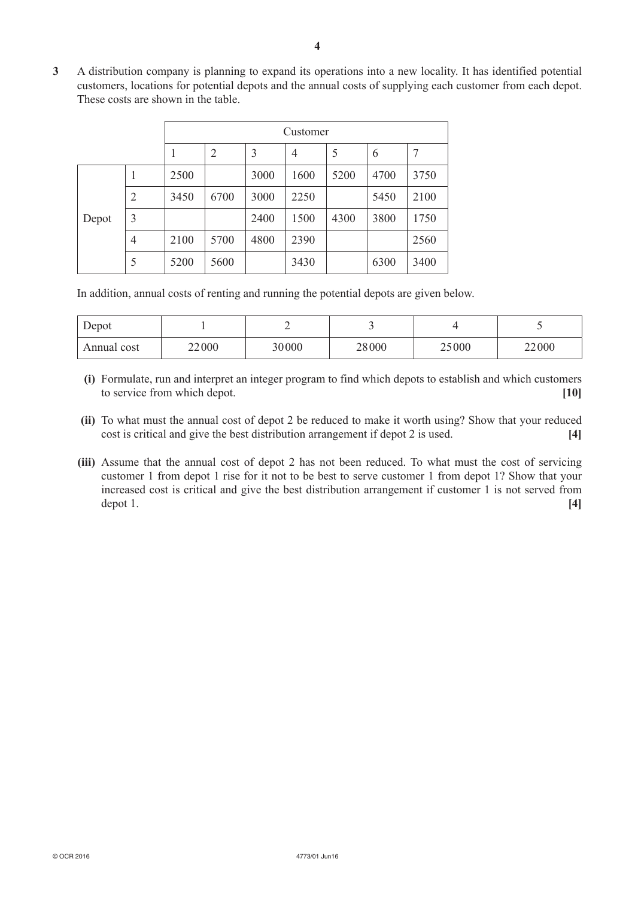**3**  A distribution company is planning to expand its operations into a new locality. It has identified potential customers, locations for potential depots and the annual costs of supplying each customer from each depot. These costs are shown in the table.

|       |                | Customer |                |      |                |      |      |      |  |
|-------|----------------|----------|----------------|------|----------------|------|------|------|--|
|       |                |          | $\overline{2}$ | 3    | $\overline{4}$ | 5    | 6    | 7    |  |
|       | I              | 2500     |                | 3000 | 1600           | 5200 | 4700 | 3750 |  |
|       | $\overline{2}$ | 3450     | 6700           | 3000 | 2250           |      | 5450 | 2100 |  |
| Depot | 3              |          |                | 2400 | 1500           | 4300 | 3800 | 1750 |  |
|       | 4              | 2100     | 5700           | 4800 | 2390           |      |      | 2560 |  |
|       | 5              | 5200     | 5600           |      | 3430           |      | 6300 | 3400 |  |

In addition, annual costs of renting and running the potential depots are given below.

| Depot       |       |       |       |       |       |
|-------------|-------|-------|-------|-------|-------|
| Annual cost | 22000 | 30000 | 28000 | 25000 | 22000 |

- **(i)** Formulate, run and interpret an integer program to find which depots to establish and which customers to service from which depot. **[10]**
- **(ii)** To what must the annual cost of depot 2 be reduced to make it worth using? Show that your reduced cost is critical and give the best distribution arrangement if depot 2 is used. **[4]**
- **(iii)** Assume that the annual cost of depot 2 has not been reduced. To what must the cost of servicing customer 1 from depot 1 rise for it not to be best to serve customer 1 from depot 1? Show that your increased cost is critical and give the best distribution arrangement if customer 1 is not served from depot 1. **[4]**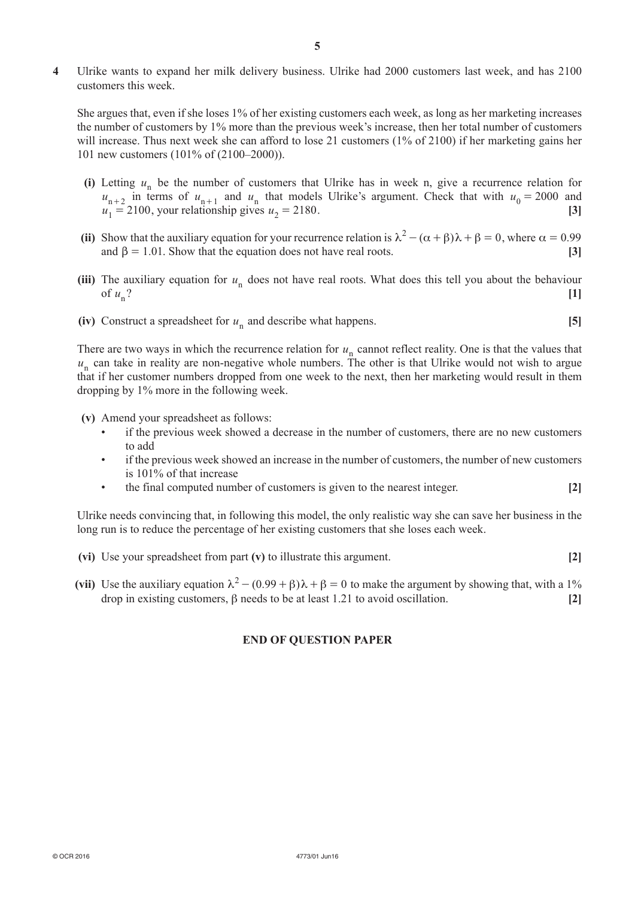**4**  Ulrike wants to expand her milk delivery business. Ulrike had 2000 customers last week, and has 2100 customers this week.

She argues that, even if she loses 1% of her existing customers each week, as long as her marketing increases the number of customers by 1% more than the previous week's increase, then her total number of customers will increase. Thus next week she can afford to lose 21 customers (1% of 2100) if her marketing gains her 101 new customers (101% of (2100–2000)).

- **(i)** Letting  $u_n$  be the number of customers that Ulrike has in week n, give a recurrence relation for  $u_{n+2}$  in terms of  $u_{n+1}$  and  $u_n$  that models Ulrike's argument. Check that with  $u_0 = 2000$  and  $u_1 = 2100$ , your relationship gives  $u_2 = 2180$ .  $u_1 = 2100$ , your relationship gives  $u_2 = 2180$ .
- **(ii)** Show that the auxiliary equation for your recurrence relation is  $\lambda^2 (\alpha + \beta)\lambda + \beta = 0$ , where  $\alpha = 0.99$ . and  $\beta = 1.01$ . Show that the equation does not have real roots. **[3]**
- **(iii)** The auxiliary equation for  $u_n$  does not have real roots. What does this tell you about the behaviour of  $u_n$ ? of  $u_n$ ?  $[1]$
- **(iv)** Construct a spreadsheet for  $u_n$  and describe what happens. **[5]**

There are two ways in which the recurrence relation for  $u_n$  cannot reflect reality. One is that the values that  $u_n$  can take in reality are non-negative whole numbers. The other is that Ulrike would not wish to argue that if her customer numbers dropped from one week to the next, then her marketing would result in them dropping by 1% more in the following week.

- **(v)**  Amend your spreadsheet as follows:
	- if the previous week showed a decrease in the number of customers, there are no new customers to add
	- if the previous week showed an increase in the number of customers, the number of new customers is 101% of that increase
	- the final computed number of customers is given to the nearest integer. **[2]**

Ulrike needs convincing that, in following this model, the only realistic way she can save her business in the long run is to reduce the percentage of her existing customers that she loses each week.

- **(vi)** Use your spreadsheet from part **(v)** to illustrate this argument. **[2]**
- **(vii)** Use the auxiliary equation  $\lambda^2 (0.99 + \beta)\lambda + \beta = 0$  to make the argument by showing that, with a 1% drop in existing customers,  $\beta$  needs to be at least 1.21 to avoid oscillation.  $\boxed{2}$

#### **END OF QUESTION PAPER**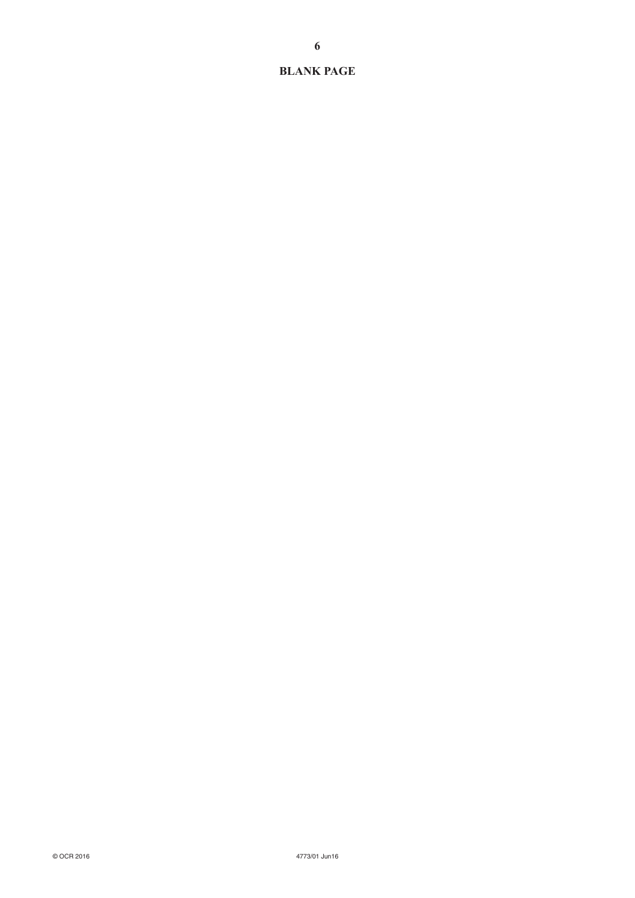### **BLANK PAGE**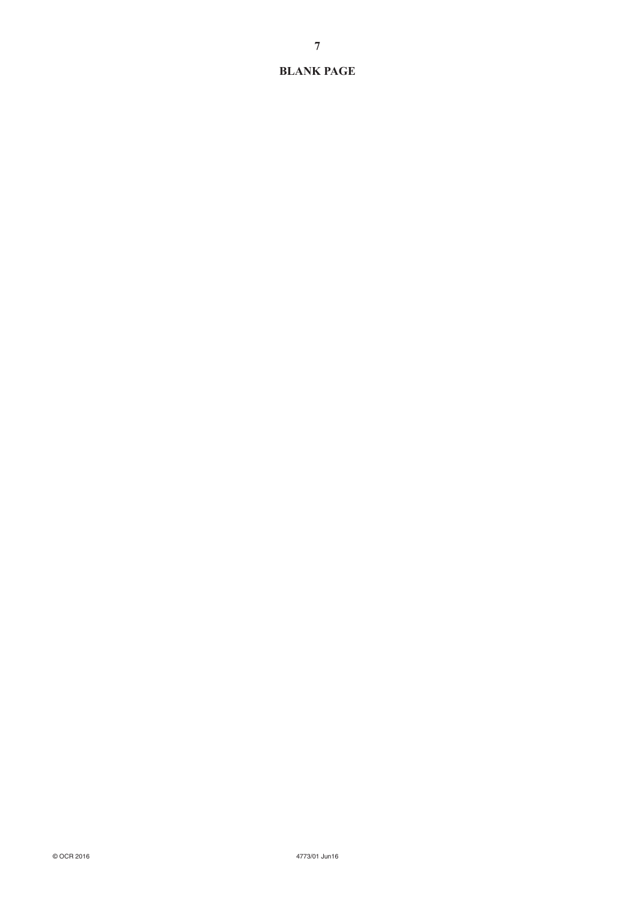### **BLANK PAGE**